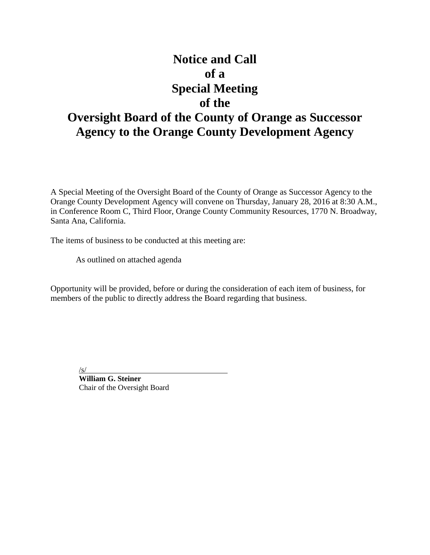# **Notice and Call of a Special Meeting of the**

## **Oversight Board of the County of Orange as Successor Agency to the Orange County Development Agency**

A Special Meeting of the Oversight Board of the County of Orange as Successor Agency to the Orange County Development Agency will convene on Thursday, January 28, 2016 at 8:30 A.M., in Conference Room C, Third Floor, Orange County Community Resources, 1770 N. Broadway, Santa Ana, California.

The items of business to be conducted at this meeting are:

As outlined on attached agenda

Opportunity will be provided, before or during the consideration of each item of business, for members of the public to directly address the Board regarding that business.

/s/

**William G. Steiner** Chair of the Oversight Board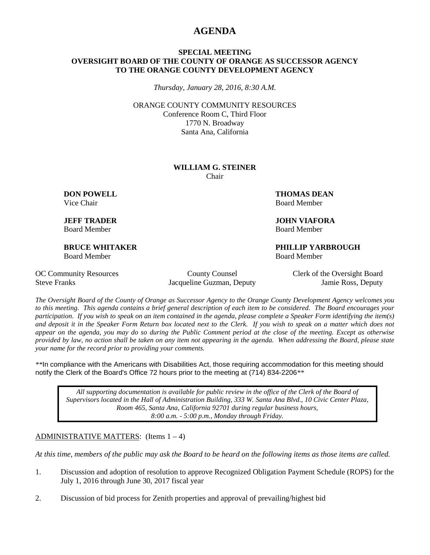### **AGENDA**

#### **SPECIAL MEETING OVERSIGHT BOARD OF THE COUNTY OF ORANGE AS SUCCESSOR AGENCY TO THE ORANGE COUNTY DEVELOPMENT AGENCY**

*Thursday, January 28, 2016, 8:30 A.M.*

ORANGE COUNTY COMMUNITY RESOURCES Conference Room C, Third Floor 1770 N. Broadway Santa Ana, California

#### **WILLIAM G. STEINER** Chair

Board Member Board Member

Board Member Board Member

**DON POWELL THOMAS DEAN** Vice Chair **Board Member** Board Member

**JEFF TRADER JOHN VIAFORA**

**BRUCE WHITAKER PHILLIP YARBROUGH**

Steve Franks Jacqueline Guzman, Deputy Jamie Ross, Deputy

OC Community Resources County County Counsel Clerk of the Oversight Board

*The Oversight Board of the County of Orange as Successor Agency to the Orange County Development Agency welcomes you to this meeting. This agenda contains a brief general description of each item to be considered. The Board encourages your participation. If you wish to speak on an item contained in the agenda, please complete a Speaker Form identifying the item(s) and deposit it in the Speaker Form Return box located next to the Clerk. If you wish to speak on a matter which does not appear on the agenda, you may do so during the Public Comment period at the close of the meeting. Except as otherwise provided by law, no action shall be taken on any item not appearing in the agenda. When addressing the Board, please state your name for the record prior to providing your comments.* 

*\*\**In compliance with the Americans with Disabilities Act, those requiring accommodation for this meeting should notify the Clerk of the Board's Office 72 hours prior to the meeting at (714) 834-2206*\*\**

*All supporting documentation is available for public review in the office of the Clerk of the Board of Supervisors located in the Hall of Administration Building, 333 W. Santa Ana Blvd., 10 Civic Center Plaza, Room 465, Santa Ana, California 92701 during regular business hours, 8:00 a.m. - 5:00 p.m., Monday through Friday.*

#### ADMINISTRATIVE MATTERS: (Items  $1 - 4$ )

*At this time, members of the public may ask the Board to be heard on the following items as those items are called.*

- 1. Discussion and adoption of resolution to approve Recognized Obligation Payment Schedule (ROPS) for the July 1, 2016 through June 30, 2017 fiscal year
- 2. Discussion of bid process for Zenith properties and approval of prevailing/highest bid